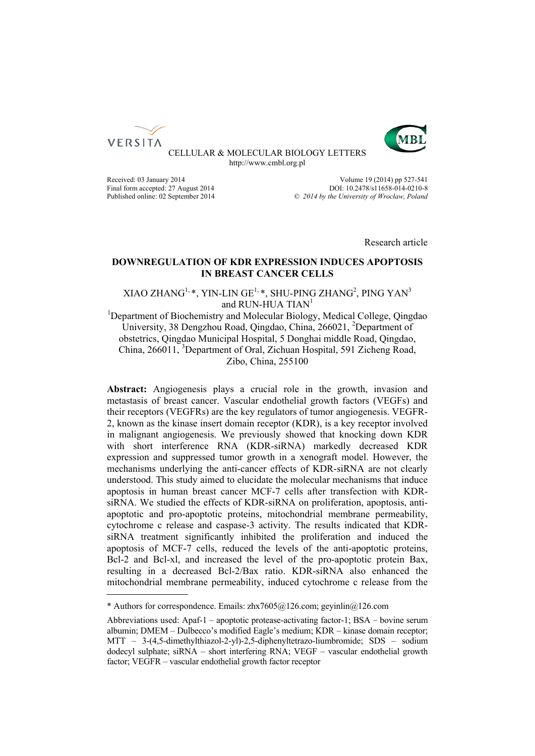



CELLULAR & MOLECULAR BIOLOGY LETTERS http://www.cmbl.org.pl

Received: 03 January 2014 <br>Volume 19 (2014) pp 527-541 Final form accepted: 27 August 2014<br>
Published online: 02 September 2014<br>  $\degree$  2014 by the University of Wroclaw, Poland Published online: 02 September 2014 *© 2014 by the University of Wrocław, Poland*

Research article

# **DOWNREGULATION OF KDR EXPRESSION INDUCES APOPTOSIS IN BREAST CANCER CELLS**

# XIAO ZHANG $^{1, *}$ , YIN-LIN GE $^{1, *}$ , SHU-PING ZHANG $^{2}$ , PING YAN $^{3}$ and RUN-HUA TIAN<sup>1</sup>

<sup>1</sup>Department of Biochemistry and Molecular Biology, Medical College, Qingdao University, 38 Dengzhou Road, Qingdao, China, 266021, <sup>2</sup>Department of obstetrics, Qingdao Municipal Hospital, 5 Donghai middle Road, Qingdao, China, 266011, <sup>3</sup>Department of Oral, Zichuan Hospital, 591 Zicheng Road, Zibo, China, 255100

**Abstract:** Angiogenesis plays a crucial role in the growth, invasion and metastasis of breast cancer. Vascular endothelial growth factors (VEGFs) and their receptors (VEGFRs) are the key regulators of tumor angiogenesis. VEGFR-2, known as the kinase insert domain receptor (KDR), is a key receptor involved in malignant angiogenesis. We previously showed that knocking down KDR with short interference RNA (KDR-siRNA) markedly decreased KDR expression and suppressed tumor growth in a xenograft model. However, the mechanisms underlying the anti-cancer effects of KDR-siRNA are not clearly understood. This study aimed to elucidate the molecular mechanisms that induce apoptosis in human breast cancer MCF-7 cells after transfection with KDRsiRNA. We studied the effects of KDR-siRNA on proliferation, apoptosis, antiapoptotic and pro-apoptotic proteins, mitochondrial membrane permeability, cytochrome c release and caspase-3 activity. The results indicated that KDRsiRNA treatment significantly inhibited the proliferation and induced the apoptosis of MCF-7 cells, reduced the levels of the anti-apoptotic proteins, Bcl-2 and Bcl-xl, and increased the level of the pro-apoptotic protein Bax, resulting in a decreased Bcl-2/Bax ratio. KDR-siRNA also enhanced the mitochondrial membrane permeability, induced cytochrome c release from the

<sup>\*</sup> Authors for correspondence. Emails: zhx7605@126.com; geyinlin@126.com

Abbreviations used: Apaf-1 – apoptotic protease-activating factor-1; BSA – bovine serum albumin; DMEM – Dulbecco's modified Eagle's medium; KDR – kinase domain receptor; MTT – 3-(4,5-dimethylthiazol-2-yl)-2,5-diphenyltetrazo-liumbromide; SDS – sodium dodecyl sulphate; siRNA – short interfering RNA; VEGF – vascular endothelial growth factor; VEGFR – vascular endothelial growth factor receptor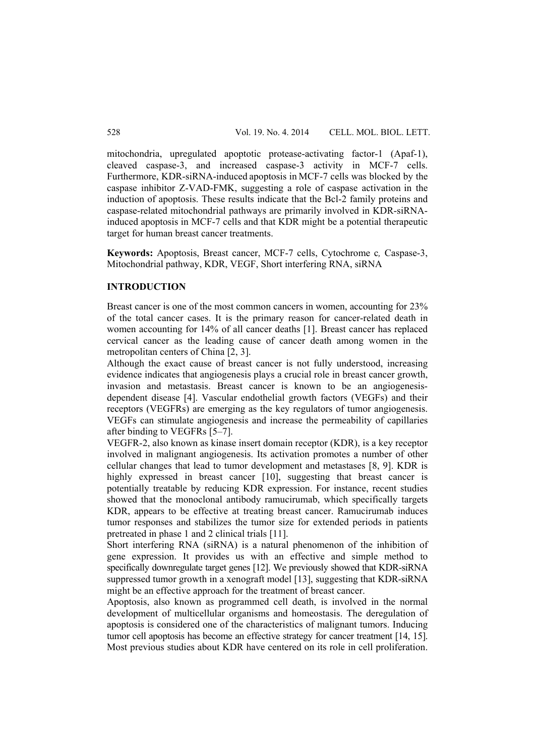mitochondria, upregulated apoptotic protease-activating factor-1 (Apaf-1), cleaved caspase-3, and increased caspase-3 activity in MCF-7 cells. Furthermore, KDR-siRNA-induced apoptosis in MCF-7 cells was blocked by the caspase inhibitor Z-VAD-FMK, suggesting a role of caspase activation in the induction of apoptosis. These results indicate that the Bcl-2 family proteins and caspase-related mitochondrial pathways are primarily involved in KDR-siRNAinduced apoptosis in MCF-7 cells and that KDR might be a potential therapeutic target for human breast cancer treatments.

**Keywords:** Apoptosis, Breast cancer, MCF-7 cells, Cytochrome c*,* Caspase-3, Mitochondrial pathway, KDR, VEGF, Short interfering RNA, siRNA

## **INTRODUCTION**

Breast cancer is one of the most common cancers in women, accounting for 23% of the total cancer cases. It is the primary reason for cancer-related death in women accounting for 14% of all cancer deaths [1]. Breast cancer has replaced cervical cancer as the leading cause of cancer death among women in the metropolitan centers of China [2, 3].

Although the exact cause of breast cancer is not fully understood, increasing evidence indicates that angiogenesis plays a crucial role in breast cancer growth, invasion and metastasis. Breast cancer is known to be an angiogenesisdependent disease [4]. Vascular endothelial growth factors (VEGFs) and their receptors (VEGFRs) are emerging as the key regulators of tumor angiogenesis. VEGFs can stimulate angiogenesis and increase the permeability of capillaries after binding to VEGFRs [5–7].

VEGFR-2, also known as kinase insert domain receptor (KDR), is a key receptor involved in malignant angiogenesis. Its activation promotes a number of other cellular changes that lead to tumor development and metastases [8, 9]. KDR is highly expressed in breast cancer [10], suggesting that breast cancer is potentially treatable by reducing KDR expression. For instance, recent studies showed that the monoclonal antibody ramucirumab, which specifically targets KDR, appears to be effective at treating breast cancer. Ramucirumab induces tumor responses and stabilizes the tumor size for extended periods in patients pretreated in phase 1 and 2 clinical trials [11].

Short interfering RNA (siRNA) is a natural phenomenon of the inhibition of gene expression. It provides us with an effective and simple method to specifically downregulate target genes [12]. We previously showed that KDR-siRNA suppressed tumor growth in a xenograft model [13], suggesting that KDR-siRNA might be an effective approach for the treatment of breast cancer.

Apoptosis, also known as programmed cell death, is involved in the normal development of multicellular organisms and homeostasis. The deregulation of apoptosis is considered one of the characteristics of malignant tumors. Inducing tumor cell apoptosis has become an effective strategy for cancer treatment [14, 15]. Most previous studies about KDR have centered on its role in cell proliferation.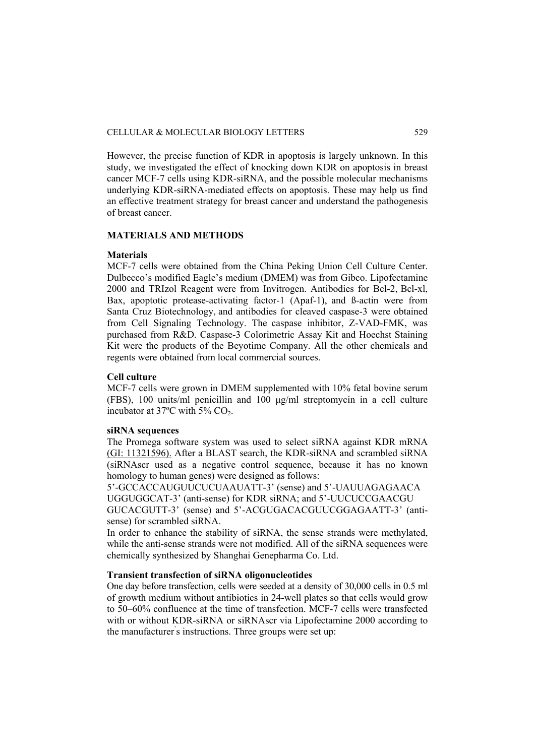However, the precise function of KDR in apoptosis is largely unknown. In this study, we investigated the effect of knocking down KDR on apoptosis in breast cancer MCF-7 cells using KDR-siRNA, and the possible molecular mechanisms underlying KDR-siRNA-mediated effects on apoptosis. These may help us find an effective treatment strategy for breast cancer and understand the pathogenesis of breast cancer.

# **MATERIALS AND METHODS**

## **Materials**

MCF-7 cells were obtained from the China Peking Union Cell Culture Center. Dulbecco's modified Eagle's medium (DMEM) was from Gibco. Lipofectamine 2000 and TRIzol Reagent were from Invitrogen. Antibodies for Bcl-2, Bcl-xl, Bax, apoptotic protease-activating factor-1 (Apaf-1), and ß-actin were from Santa Cruz Biotechnology, and antibodies for cleaved caspase-3 were obtained from Cell Signaling Technology. The caspase inhibitor, Z-VAD-FMK, was purchased from R&D. Caspase-3 Colorimetric Assay Kit and Hoechst Staining Kit were the products of the Beyotime Company. All the other chemicals and regents were obtained from local commercial sources.

### **Cell culture**

MCF-7 cells were grown in DMEM supplemented with 10% fetal bovine serum (FBS), 100 units/ml penicillin and 100 μg/ml streptomycin in a cell culture incubator at  $37^{\circ}$ C with  $5\%$  CO<sub>2</sub>.

# **siRNA sequences**

The Promega software system was used to select siRNA against KDR mRNA (GI: 11321596). After a BLAST search, the KDR-siRNA and scrambled siRNA (siRNAscr used as a negative control sequence, because it has no known homology to human genes) were designed as follows:

5'-GCCACCAUGUUCUCUAAUATT-3' (sense) and 5'-UAUUAGAGAACA UGGUGGCAT-3' (anti-sense) for KDR siRNA; and 5'-UUCUCCGAACGU GUCACGUTT-3' (sense) and 5'-ACGUGACACGUUCGGAGAATT-3' (antisense) for scrambled siRNA

In order to enhance the stability of siRNA, the sense strands were methylated, while the anti-sense strands were not modified. All of the siRNA sequences were chemically synthesized by Shanghai Genepharma Co. Ltd.

# **Transient transfection of siRNA oligonucleotides**

One day before transfection, cells were seeded at a density of 30,000 cells in 0.5 ml of growth medium without antibiotics in 24-well plates so that cells would grow to 50–60% confluence at the time of transfection. MCF-7 cells were transfected with or without KDR-siRNA or siRNAscr via Lipofectamine 2000 according to the manufacturer' s instructions. Three groups were set up: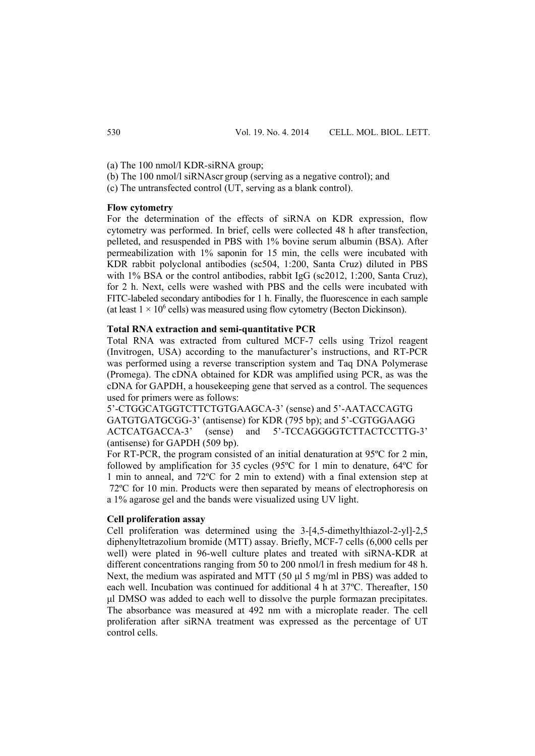- (a) The 100 nmol/l KDR-siRNA group;
- (b) The 100 nmol/l siRNAscr group (serving as a negative control); and
- (c) The untransfected control (UT, serving as a blank control).

### **Flow cytometry**

For the determination of the effects of siRNA on KDR expression, flow cytometry was performed. In brief, cells were collected 48 h after transfection, pelleted, and resuspended in PBS with 1% bovine serum albumin (BSA). After permeabilization with 1% saponin for 15 min, the cells were incubated with KDR rabbit polyclonal antibodies (sc504, 1:200, Santa Cruz) diluted in PBS with 1% BSA or the control antibodies, rabbit IgG (sc2012, 1:200, Santa Cruz), for 2 h. Next, cells were washed with PBS and the cells were incubated with FITC-labeled secondary antibodies for 1 h. Finally, the fluorescence in each sample (at least  $1 \times 10^6$  cells) was measured using flow cytometry (Becton Dickinson).

### **Total RNA extraction and semi-quantitative PCR**

Total RNA was extracted from cultured MCF-7 cells using Trizol reagent (Invitrogen, USA) according to the manufacturer's instructions, and RT-PCR was performed using a reverse transcription system and Taq DNA Polymerase (Promega). The cDNA obtained for KDR was amplified using PCR, as was the cDNA for GAPDH, a housekeeping gene that served as a control. The sequences used for primers were as follows:

5'-CTGGCATGGTCTTCTGTGAAGCA-3' (sense) and 5'-AATACCAGTG GATGTGATGCGG-3' (antisense) for KDR (795 bp); and 5'-CGTGGAAGG ACTCATGACCA-3' (sense) and 5'-TCCAGGGGTCTTACTCCTTG-3' (antisense) for GAPDH (509 bp).

For RT-PCR, the program consisted of an initial denaturation at 95ºC for 2 min, followed by amplification for 35 cycles (95ºC for 1 min to denature, 64ºC for 1 min to anneal, and 72ºC for 2 min to extend) with a final extension step at 72ºC for 10 min. Products were then separated by means of electrophoresis on a 1% agarose gel and the bands were visualized using UV light.

# **Cell proliferation assay**

Cell proliferation was determined using the 3-[4,5-dimethylthiazol-2-yl]-2,5 diphenyltetrazolium bromide (MTT) assay. Briefly, MCF-7 cells (6,000 cells per well) were plated in 96-well culture plates and treated with siRNA-KDR at different concentrations ranging from 50 to 200 nmol/l in fresh medium for 48 h. Next, the medium was aspirated and MTT (50 μl 5 mg/ml in PBS) was added to each well. Incubation was continued for additional 4 h at 37ºC. Thereafter, 150 μl DMSO was added to each well to dissolve the purple formazan precipitates. The absorbance was measured at 492 nm with a microplate reader. The cell proliferation after siRNA treatment was expressed as the percentage of UT control cells.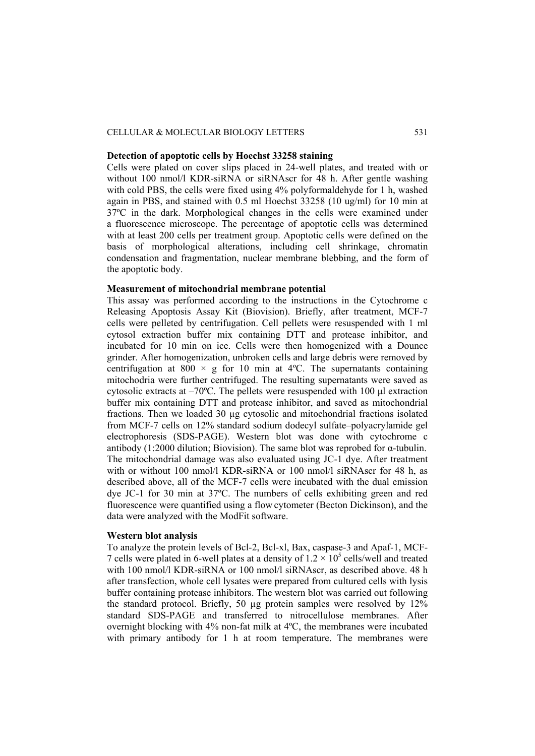#### CELLULAR & MOLECULAR BIOLOGY LETTERS 531

#### **Detection of apoptotic cells by Hoechst 33258 staining**

Cells were plated on cover slips placed in 24-well plates, and treated with or without 100 nmol/l KDR-siRNA or siRNAscr for 48 h. After gentle washing with cold PBS, the cells were fixed using 4% polyformaldehyde for 1 h, washed again in PBS, and stained with 0.5 ml Hoechst 33258 (10 ug/ml) for 10 min at 37ºC in the dark. Morphological changes in the cells were examined under a fluorescence microscope. The percentage of apoptotic cells was determined with at least 200 cells per treatment group. Apoptotic cells were defined on the basis of morphological alterations, including cell shrinkage, chromatin condensation and fragmentation, nuclear membrane blebbing, and the form of the apoptotic body.

### **Measurement of mitochondrial membrane potential**

This assay was performed according to the instructions in the Cytochrome c Releasing Apoptosis Assay Kit (Biovision). Briefly, after treatment, MCF-7 cells were pelleted by centrifugation. Cell pellets were resuspended with 1 ml cytosol extraction buffer mix containing DTT and protease inhibitor, and incubated for 10 min on ice. Cells were then homogenized with a Dounce grinder. After homogenization, unbroken cells and large debris were removed by centrifugation at 800  $\times$  g for 10 min at 4°C. The supernatants containing mitochodria were further centrifuged. The resulting supernatants were saved as cytosolic extracts at –70ºC. The pellets were resuspended with 100 μl extraction buffer mix containing DTT and protease inhibitor, and saved as mitochondrial fractions. Then we loaded 30 µg cytosolic and mitochondrial fractions isolated from MCF-7 cells on 12% standard sodium dodecyl sulfate–polyacrylamide gel electrophoresis (SDS-PAGE). Western blot was done with cytochrome c antibody (1:2000 dilution; Biovision). The same blot was reprobed for  $\alpha$ -tubulin. The mitochondrial damage was also evaluated using JC-1 dye. After treatment with or without 100 nmol/l KDR-siRNA or 100 nmol/l siRNAscr for 48 h, as described above, all of the MCF-7 cells were incubated with the dual emission dye JC-1 for 30 min at 37ºC. The numbers of cells exhibiting green and red fluorescence were quantified using a flow cytometer (Becton Dickinson), and the data were analyzed with the ModFit software.

# **Western blot analysis**

To analyze the protein levels of Bcl-2, Bcl-xl, Bax, caspase-3 and Apaf-1, MCF-7 cells were plated in 6-well plates at a density of  $1.2 \times 10^5$  cells/well and treated with 100 nmol/l KDR-siRNA or 100 nmol/l siRNAscr, as described above. 48 h after transfection, whole cell lysates were prepared from cultured cells with lysis buffer containing protease inhibitors. The western blot was carried out following the standard protocol. Briefly, 50 µg protein samples were resolved by 12% standard SDS-PAGE and transferred to nitrocellulose membranes. After overnight blocking with 4% non-fat milk at 4ºC, the membranes were incubated with primary antibody for 1 h at room temperature. The membranes were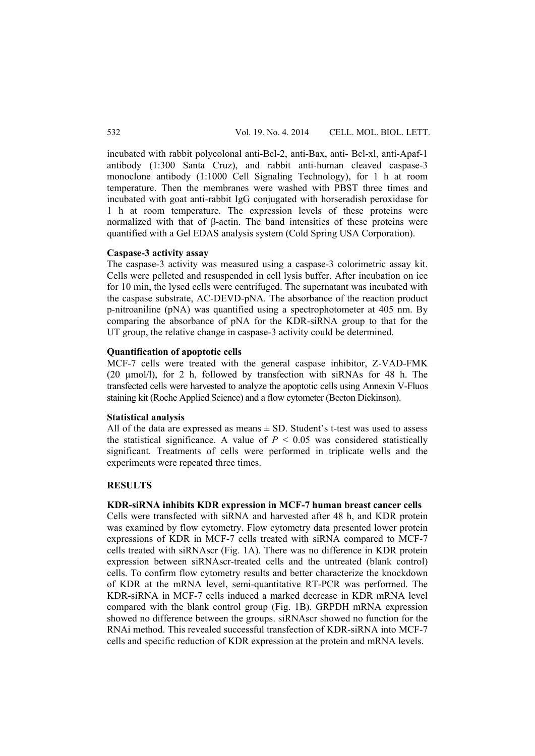incubated with rabbit polycolonal anti-Bcl-2, anti-Bax, anti- Bcl-xl, anti-Apaf-1 antibody (1:300 Santa Cruz), and rabbit anti-human cleaved caspase-3 monoclone antibody (1:1000 Cell Signaling Technology), for 1 h at room temperature. Then the membranes were washed with PBST three times and incubated with goat anti-rabbit IgG conjugated with horseradish peroxidase for 1 h at room temperature. The expression levels of these proteins were normalized with that of β-actin. The band intensities of these proteins were quantified with a Gel EDAS analysis system (Cold Spring USA Corporation).

#### **Caspase-3 activity assay**

The caspase-3 activity was measured using a caspase-3 colorimetric assay kit. Cells were pelleted and resuspended in cell lysis buffer. After incubation on ice for 10 min, the lysed cells were centrifuged. The supernatant was incubated with the caspase substrate, AC-DEVD-pNA. The absorbance of the reaction product p-nitroaniline (pNA) was quantified using a spectrophotometer at 405 nm. By comparing the absorbance of pNA for the KDR-siRNA group to that for the UT group, the relative change in caspase-3 activity could be determined.

#### **Quantification of apoptotic cells**

MCF-7 cells were treated with the general caspase inhibitor, Z-VAD-FMK (20 µmol/l), for 2 h, followed by transfection with siRNAs for 48 h. The transfected cells were harvested to analyze the apoptotic cells using Annexin V-Fluos staining kit (Roche Applied Science) and a flow cytometer (Becton Dickinson).

#### **Statistical analysis**

All of the data are expressed as means  $\pm$  SD. Student's t-test was used to assess the statistical significance. A value of  $P < 0.05$  was considered statistically significant. Treatments of cells were performed in triplicate wells and the experiments were repeated three times.

## **RESULTS**

# **KDR-siRNA inhibits KDR expression in MCF-7 human breast cancer cells**

Cells were transfected with siRNA and harvested after 48 h, and KDR protein was examined by flow cytometry. Flow cytometry data presented lower protein expressions of KDR in MCF-7 cells treated with siRNA compared to MCF-7 cells treated with siRNAscr (Fig. 1A). There was no difference in KDR protein expression between siRNAscr-treated cells and the untreated (blank control) cells. To confirm flow cytometry results and better characterize the knockdown of KDR at the mRNA level, semi-quantitative RT-PCR was performed. The KDR-siRNA in MCF-7 cells induced a marked decrease in KDR mRNA level compared with the blank control group (Fig. 1B). GRPDH mRNA expression showed no difference between the groups. siRNAscr showed no function for the RNAi method. This revealed successful transfection of KDR-siRNA into MCF-7 cells and specific reduction of KDR expression at the protein and mRNA levels.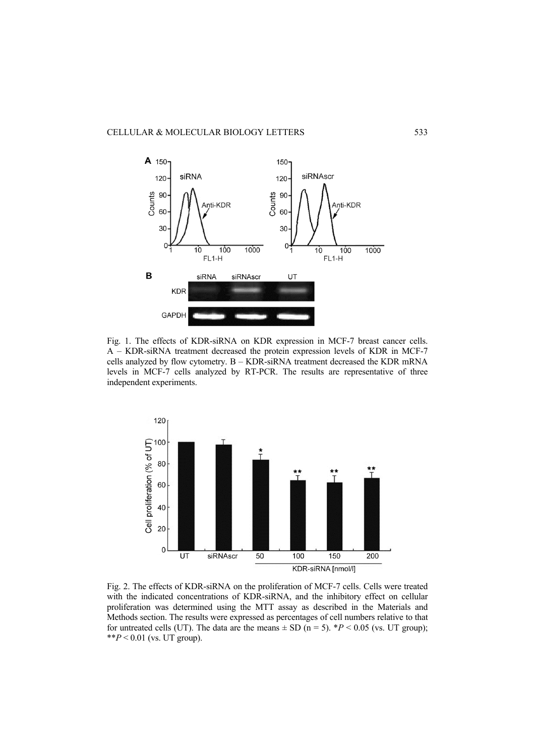

Fig. 1. The effects of KDR-siRNA on KDR expression in MCF-7 breast cancer cells. A – KDR-siRNA treatment decreased the protein expression levels of KDR in MCF-7 cells analyzed by flow cytometry. B – KDR-siRNA treatment decreased the KDR mRNA levels in MCF-7 cells analyzed by RT-PCR. The results are representative of three independent experiments.



Fig. 2. The effects of KDR-siRNA on the proliferation of MCF-7 cells. Cells were treated with the indicated concentrations of KDR-siRNA, and the inhibitory effect on cellular proliferation was determined using the MTT assay as described in the Materials and Methods section. The results were expressed as percentages of cell numbers relative to that for untreated cells (UT). The data are the means  $\pm$  SD (n = 5).  $*P < 0.05$  (vs. UT group); \*\* $P < 0.01$  (vs. UT group).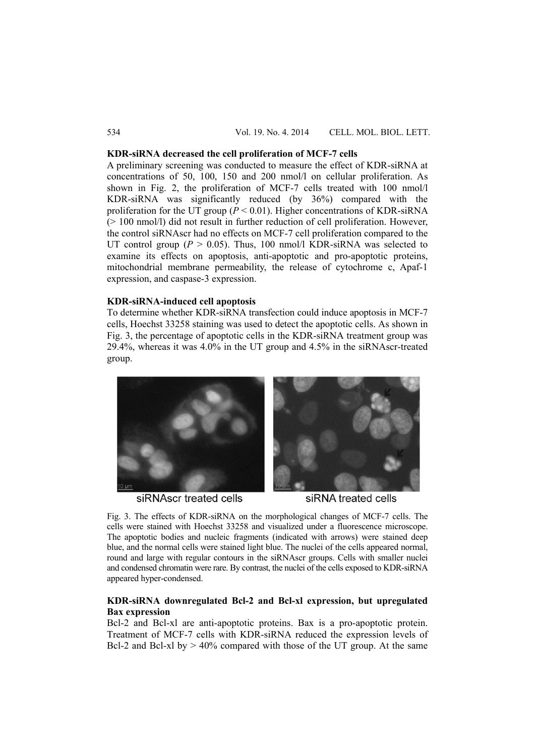### **KDR-siRNA decreased the cell proliferation of MCF-7 cells**

A preliminary screening was conducted to measure the effect of KDR-siRNA at concentrations of 50, 100, 150 and 200 nmol/l on cellular proliferation. As shown in Fig. 2, the proliferation of MCF-7 cells treated with 100 nmol/l KDR-siRNA was significantly reduced (by 36%) compared with the proliferation for the UT group ( $P < 0.01$ ). Higher concentrations of KDR-siRNA (> 100 nmol/l) did not result in further reduction of cell proliferation. However, the control siRNAscr had no effects on MCF-7 cell proliferation compared to the UT control group ( $P > 0.05$ ). Thus, 100 nmol/l KDR-siRNA was selected to examine its effects on apoptosis, anti-apoptotic and pro-apoptotic proteins, mitochondrial membrane permeability, the release of cytochrome c, Apaf-1 expression, and caspase-3 expression.

# **KDR-siRNA-induced cell apoptosis**

To determine whether KDR-siRNA transfection could induce apoptosis in MCF-7 cells, Hoechst 33258 staining was used to detect the apoptotic cells. As shown in Fig. 3, the percentage of apoptotic cells in the KDR-siRNA treatment group was 29.4%, whereas it was 4.0% in the UT group and 4.5% in the siRNAscr-treated group.



siRNAscr treated cells



siRNA treated cells

Fig. 3. The effects of KDR-siRNA on the morphological changes of MCF-7 cells. The cells were stained with Hoechst 33258 and visualized under a fluorescence microscope. The apoptotic bodies and nucleic fragments (indicated with arrows) were stained deep blue, and the normal cells were stained light blue. The nuclei of the cells appeared normal, round and large with regular contours in the siRNAscr groups. Cells with smaller nuclei and condensed chromatin were rare. By contrast, the nuclei of the cells exposed to KDR-siRNA appeared hyper-condensed.

# **KDR-siRNA downregulated Bcl-2 and Bcl-xl expression, but upregulated Bax expression**

Bcl-2 and Bcl-xl are anti-apoptotic proteins. Bax is a pro-apoptotic protein. Treatment of MCF-7 cells with KDR-siRNA reduced the expression levels of Bcl-2 and Bcl-xl by  $> 40\%$  compared with those of the UT group. At the same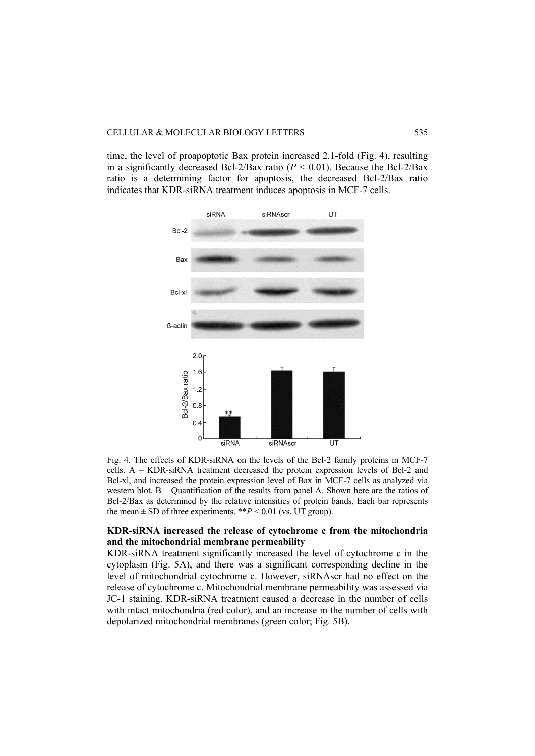time, the level of proapoptotic Bax protein increased 2.1-fold (Fig. 4), resulting in a significantly decreased Bcl-2/Bax ratio  $(P < 0.01)$ . Because the Bcl-2/Bax ratio is a determining factor for apoptosis, the decreased Bcl-2/Bax ratio indicates that KDR-siRNA treatment induces apoptosis in MCF-7 cells.



Fig. 4. The effects of KDR-siRNA on the levels of the Bcl-2 family proteins in MCF-7 cells. A – KDR-siRNA treatment decreased the protein expression levels of Bcl-2 and Bcl-xl, and increased the protein expression level of Bax in MCF-7 cells as analyzed via western blot. B – Quantification of the results from panel A. Shown here are the ratios of Bcl-2/Bax as determined by the relative intensities of protein bands. Each bar represents the mean  $\pm$  SD of three experiments. \*\* $P$  < 0.01 (vs. UT group).

# **KDR-siRNA increased the release of cytochrome c from the mitochondria and the mitochondrial membrane permeability**

KDR-siRNA treatment significantly increased the level of cytochrome c in the cytoplasm (Fig. 5A), and there was a significant corresponding decline in the level of mitochondrial cytochrome c. However, siRNAscr had no effect on the release of cytochrome c. Mitochondrial membrane permeability was assessed via JC-1 staining. KDR-siRNA treatment caused a decrease in the number of cells with intact mitochondria (red color), and an increase in the number of cells with depolarized mitochondrial membranes (green color; Fig. 5B).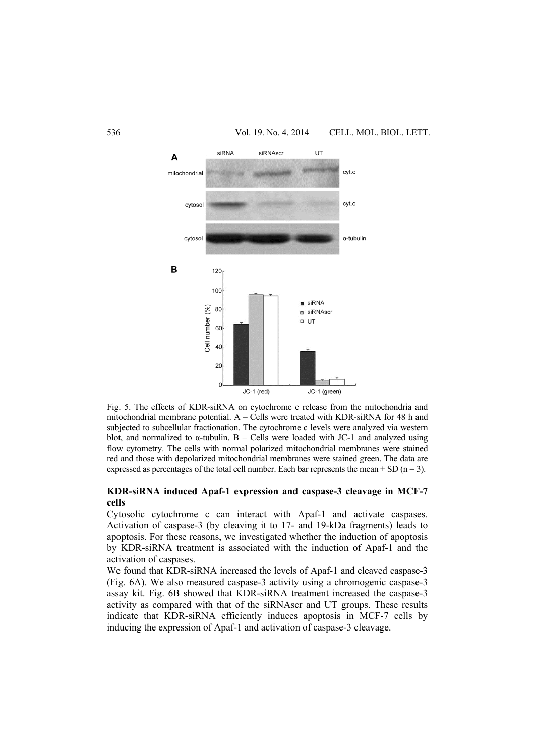

Fig. 5. The effects of KDR-siRNA on cytochrome c release from the mitochondria and mitochondrial membrane potential. A – Cells were treated with KDR-siRNA for 48 h and subjected to subcellular fractionation. The cytochrome c levels were analyzed via western blot, and normalized to  $\alpha$ -tubulin. B – Cells were loaded with JC-1 and analyzed using flow cytometry. The cells with normal polarized mitochondrial membranes were stained red and those with depolarized mitochondrial membranes were stained green. The data are expressed as percentages of the total cell number. Each bar represents the mean  $\pm$  SD (n = 3).

# **KDR-siRNA induced Apaf-1 expression and caspase-3 cleavage in MCF-7 cells**

Cytosolic cytochrome c can interact with Apaf-1 and activate caspases. Activation of caspase-3 (by cleaving it to 17- and 19-kDa fragments) leads to apoptosis. For these reasons, we investigated whether the induction of apoptosis by KDR-siRNA treatment is associated with the induction of Apaf-1 and the activation of caspases.

We found that KDR-siRNA increased the levels of Apaf-1 and cleaved caspase-3 (Fig. 6A). We also measured caspase-3 activity using a chromogenic caspase-3 assay kit. Fig. 6B showed that KDR-siRNA treatment increased the caspase-3 activity as compared with that of the siRNAscr and UT groups. These results indicate that KDR-siRNA efficiently induces apoptosis in MCF-7 cells by inducing the expression of Apaf-1 and activation of caspase-3 cleavage.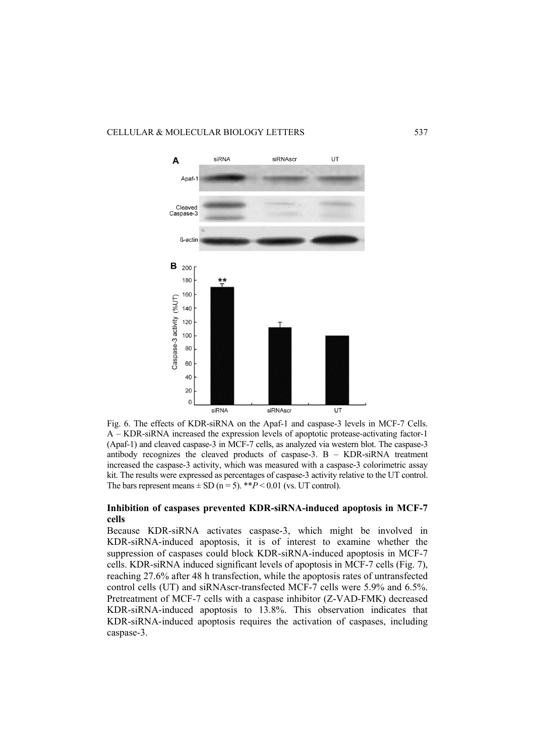

Fig. 6. The effects of KDR-siRNA on the Apaf-1 and caspase-3 levels in MCF-7 Cells. A – KDR-siRNA increased the expression levels of apoptotic protease-activating factor-1 (Apaf-1) and cleaved caspase-3 in MCF-7 cells, as analyzed via western blot. The caspase-3 antibody recognizes the cleaved products of caspase-3. B – KDR-siRNA treatment increased the caspase-3 activity, which was measured with a caspase-3 colorimetric assay kit. The results were expressed as percentages of caspase-3 activity relative to the UT control. The bars represent means  $\pm$  SD (n = 5). \*\**P* < 0.01 (vs. UT control).

# **Inhibition of caspases prevented KDR-siRNA-induced apoptosis in MCF-7 cells**

Because KDR-siRNA activates caspase-3, which might be involved in KDR-siRNA-induced apoptosis, it is of interest to examine whether the suppression of caspases could block KDR-siRNA-induced apoptosis in MCF-7 cells. KDR-siRNA induced significant levels of apoptosis in MCF-7 cells (Fig. 7), reaching 27.6% after 48 h transfection, while the apoptosis rates of untransfected control cells (UT) and siRNAscr-transfected MCF-7 cells were 5.9% and 6.5%. Pretreatment of MCF-7 cells with a caspase inhibitor (Z-VAD-FMK) decreased KDR-siRNA-induced apoptosis to 13.8%. This observation indicates that KDR-siRNA-induced apoptosis requires the activation of caspases, including caspase-3.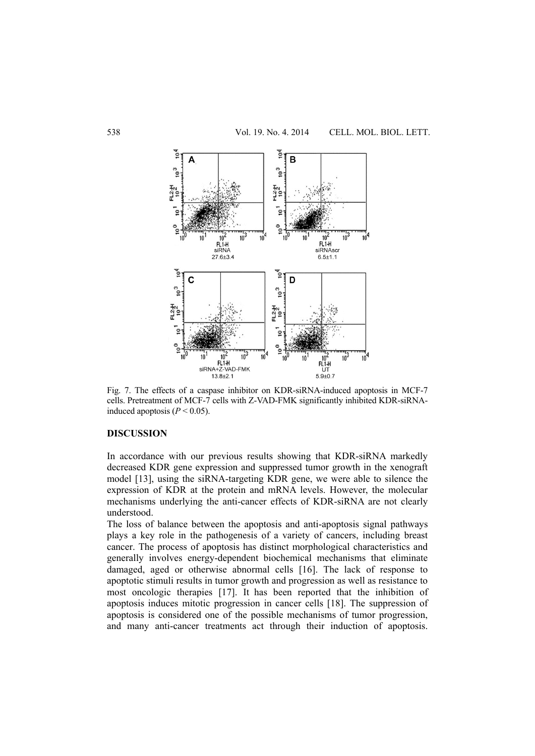

Fig. 7. The effects of a caspase inhibitor on KDR-siRNA-induced apoptosis in MCF-7 cells. Pretreatment of MCF-7 cells with Z-VAD-FMK significantly inhibited KDR-siRNAinduced apoptosis  $(P < 0.05)$ .

## **DISCUSSION**

In accordance with our previous results showing that KDR-siRNA markedly decreased KDR gene expression and suppressed tumor growth in the xenograft model [13], using the siRNA-targeting KDR gene, we were able to silence the expression of KDR at the protein and mRNA levels. However, the molecular mechanisms underlying the anti-cancer effects of KDR-siRNA are not clearly understood.

The loss of balance between the apoptosis and anti-apoptosis signal pathways plays a key role in the pathogenesis of a variety of cancers, including breast cancer. The process of apoptosis has distinct morphological characteristics and generally involves energy-dependent biochemical mechanisms that eliminate damaged, aged or otherwise abnormal cells [16]. The lack of response to apoptotic stimuli results in tumor growth and progression as well as resistance to most oncologic therapies [17]. It has been reported that the inhibition of apoptosis induces mitotic progression in cancer cells [18]. The suppression of apoptosis is considered one of the possible mechanisms of tumor progression, and many anti-cancer treatments act through their induction of apoptosis.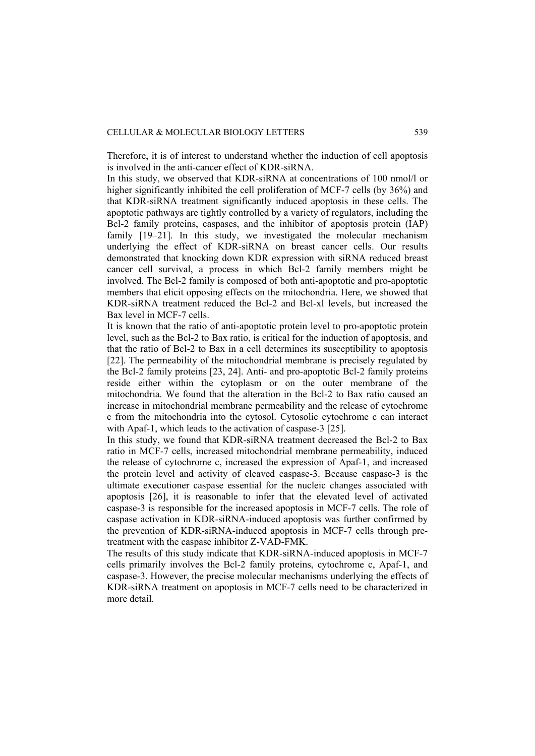Therefore, it is of interest to understand whether the induction of cell apoptosis is involved in the anti-cancer effect of KDR-siRNA.

In this study, we observed that KDR-siRNA at concentrations of 100 nmol/l or higher significantly inhibited the cell proliferation of MCF-7 cells (by 36%) and that KDR-siRNA treatment significantly induced apoptosis in these cells. The apoptotic pathways are tightly controlled by a variety of regulators, including the Bcl-2 family proteins, caspases, and the inhibitor of apoptosis protein (IAP) family [19–21]. In this study, we investigated the molecular mechanism underlying the effect of KDR-siRNA on breast cancer cells. Our results demonstrated that knocking down KDR expression with siRNA reduced breast cancer cell survival, a process in which Bcl-2 family members might be involved. The Bcl-2 family is composed of both anti-apoptotic and pro-apoptotic members that elicit opposing effects on the mitochondria. Here, we showed that KDR-siRNA treatment reduced the Bcl-2 and Bcl-xl levels, but increased the Bax level in MCF-7 cells.

It is known that the ratio of anti-apoptotic protein level to pro-apoptotic protein level, such as the Bcl-2 to Bax ratio, is critical for the induction of apoptosis, and that the ratio of Bcl-2 to Bax in a cell determines its susceptibility to apoptosis [22]. The permeability of the mitochondrial membrane is precisely regulated by the Bcl-2 family proteins [23, 24]. Anti- and pro-apoptotic Bcl-2 family proteins reside either within the cytoplasm or on the outer membrane of the mitochondria. We found that the alteration in the Bcl-2 to Bax ratio caused an increase in mitochondrial membrane permeability and the release of cytochrome c from the mitochondria into the cytosol. Cytosolic cytochrome c can interact with Apaf-1, which leads to the activation of caspase-3 [25].

In this study, we found that KDR-siRNA treatment decreased the Bcl-2 to Bax ratio in MCF-7 cells, increased mitochondrial membrane permeability, induced the release of cytochrome c, increased the expression of Apaf-1, and increased the protein level and activity of cleaved caspase-3. Because caspase-3 is the ultimate executioner caspase essential for the nucleic changes associated with apoptosis [26], it is reasonable to infer that the elevated level of activated caspase-3 is responsible for the increased apoptosis in MCF-7 cells. The role of caspase activation in KDR-siRNA-induced apoptosis was further confirmed by the prevention of KDR-siRNA-induced apoptosis in MCF-7 cells through pretreatment with the caspase inhibitor Z-VAD-FMK.

The results of this study indicate that KDR-siRNA-induced apoptosis in MCF-7 cells primarily involves the Bcl-2 family proteins, cytochrome c, Apaf-1, and caspase-3. However, the precise molecular mechanisms underlying the effects of KDR-siRNA treatment on apoptosis in MCF-7 cells need to be characterized in more detail.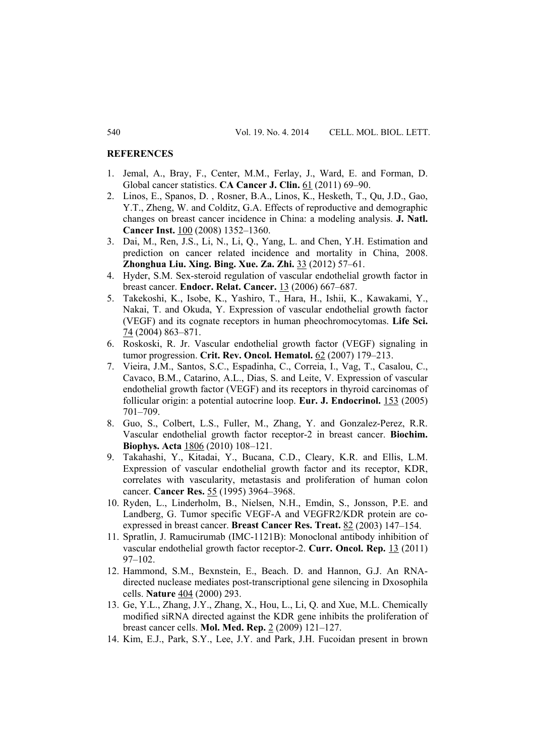### **REFERENCES**

- 1. Jemal, A., Bray, F., Center, M.M., Ferlay, J., Ward, E. and Forman, D. Global cancer statistics. **CA Cancer J. Clin.** 61 (2011) 69–90.
- 2. Linos, E., Spanos, D. , Rosner, B.A., Linos, K., Hesketh, T., Qu, J.D., Gao, Y.T., Zheng, W. and Colditz, G.A. Effects of reproductive and demographic changes on breast cancer incidence in China: a modeling analysis. **J. Natl. Cancer Inst.** 100 (2008) 1352–1360.
- 3. Dai, M., Ren, J.S., Li, N., Li, Q., Yang, L. and Chen, Y.H. Estimation and prediction on cancer related incidence and mortality in China, 2008. **Zhonghua Liu. Xing. Bing. Xue. Za. Zhi.** 33 (2012) 57–61.
- 4. Hyder, S.M. Sex-steroid regulation of vascular endothelial growth factor in breast cancer. **Endocr. Relat. Cancer.** 13 (2006) 667–687.
- 5. Takekoshi, K., Isobe, K., Yashiro, T., Hara, H., Ishii, K., Kawakami, Y., Nakai, T. and Okuda, Y. Expression of vascular endothelial growth factor (VEGF) and its cognate receptors in human pheochromocytomas. **Life Sci.** 74 (2004) 863–871.
- 6. Roskoski, R. Jr. Vascular endothelial growth factor (VEGF) signaling in tumor progression. **Crit. Rev. Oncol. Hematol.** 62 (2007) 179–213.
- 7. Vieira, J.M., Santos, S.C., Espadinha, C., Correia, I., Vag, T., Casalou, C., Cavaco, B.M., Catarino, A.L., Dias, S. and Leite, V. Expression of vascular endothelial growth factor (VEGF) and its receptors in thyroid carcinomas of follicular origin: a potential autocrine loop. **Eur. J. Endocrinol.** 153 (2005) 701–709.
- 8. Guo, S., Colbert, L.S., Fuller, M., Zhang, Y. and Gonzalez-Perez, R.R. Vascular endothelial growth factor receptor-2 in breast cancer. **Biochim. Biophys. Acta** 1806 (2010) 108–121.
- 9. Takahashi, Y., Kitadai, Y., Bucana, C.D., Cleary, K.R. and Ellis, L.M. Expression of vascular endothelial growth factor and its receptor, KDR, correlates with vascularity, metastasis and proliferation of human colon cancer. **Cancer Res.** 55 (1995) 3964–3968.
- 10. Ryden, L., Linderholm, B., Nielsen, N.H., Emdin, S., Jonsson, P.E. and Landberg, G. Tumor specific VEGF-A and VEGFR2/KDR protein are coexpressed in breast cancer. **Breast Cancer Res. Treat.** 82 (2003) 147–154.
- 11. Spratlin, J. Ramucirumab (IMC-1121B): Monoclonal antibody inhibition of vascular endothelial growth factor receptor-2. **Curr. Oncol. Rep.** 13 (2011) 97–102.
- 12. Hammond, S.M., Bexnstein, E., Beach. D. and Hannon, G.J. An RNAdirected nuclease mediates post-transcriptional gene silencing in Dxosophila cells. **Nature** 404 (2000) 293.
- 13. Ge, Y.L., Zhang, J.Y., Zhang, X., Hou, L., Li, Q. and Xue, M.L. Chemically modified siRNA directed against the KDR gene inhibits the proliferation of breast cancer cells. **Mol. Med. Rep.** 2 (2009) 121–127.
- 14. Kim, E.J., Park, S.Y., Lee, J.Y. and Park, J.H. Fucoidan present in brown